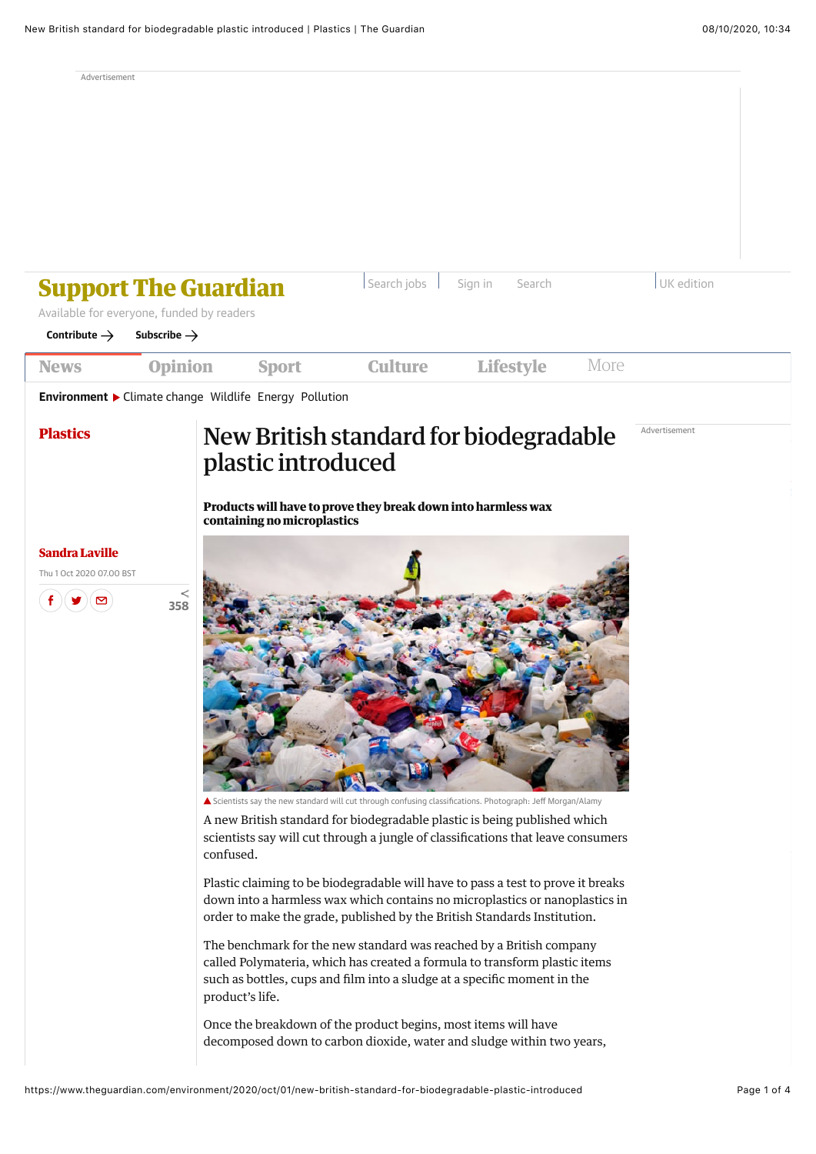Advertisement

| Search jobs<br>UK edition<br>Sign in<br>Search<br><b>Support The Guardian</b><br>Available for everyone, funded by readers<br>Contribute $\rightarrow$<br>Subscribe $\rightarrow$ |                                                        |                                                   |                                                                                                                                                                                                                                                                                                                                                                                                                                                                                                                                                                                                                         |                  |               |  |  |  |  |  |
|-----------------------------------------------------------------------------------------------------------------------------------------------------------------------------------|--------------------------------------------------------|---------------------------------------------------|-------------------------------------------------------------------------------------------------------------------------------------------------------------------------------------------------------------------------------------------------------------------------------------------------------------------------------------------------------------------------------------------------------------------------------------------------------------------------------------------------------------------------------------------------------------------------------------------------------------------------|------------------|---------------|--|--|--|--|--|
| <b>News</b>                                                                                                                                                                       | <b>Opinion</b>                                         | <b>Sport</b>                                      | <b>Culture</b>                                                                                                                                                                                                                                                                                                                                                                                                                                                                                                                                                                                                          | <b>Lifestyle</b> | More          |  |  |  |  |  |
|                                                                                                                                                                                   | Environment > Climate change Wildlife Energy Pollution |                                                   |                                                                                                                                                                                                                                                                                                                                                                                                                                                                                                                                                                                                                         |                  |               |  |  |  |  |  |
| <b>Plastics</b>                                                                                                                                                                   |                                                        | plastic introduced<br>containing no microplastics | New British standard for biodegradable<br>Products will have to prove they break down into harmless wax                                                                                                                                                                                                                                                                                                                                                                                                                                                                                                                 |                  | Advertisement |  |  |  |  |  |
| <b>Sandra Laville</b><br>Thu 1 Oct 2020 07.00 BST<br>⊠                                                                                                                            | <<br>358                                               | confused.                                         | ▲ Scientists say the new standard will cut through confusing classifications. Photograph: Jeff Morgan/Alamy<br>A new British standard for biodegradable plastic is being published which<br>scientists say will cut through a jungle of classifications that leave consumers                                                                                                                                                                                                                                                                                                                                            |                  |               |  |  |  |  |  |
|                                                                                                                                                                                   |                                                        | product's life.                                   | Plastic claiming to be biodegradable will have to pass a test to prove it breaks<br>down into a harmless wax which contains no microplastics or nanoplastics in<br>order to make the grade, published by the British Standards Institution.<br>The benchmark for the new standard was reached by a British company<br>called Polymateria, which has created a formula to transform plastic items<br>such as bottles, cups and film into a sludge at a specific moment in the<br>Once the breakdown of the product begins, most items will have<br>decomposed down to carbon dioxide, water and sludge within two years, |                  |               |  |  |  |  |  |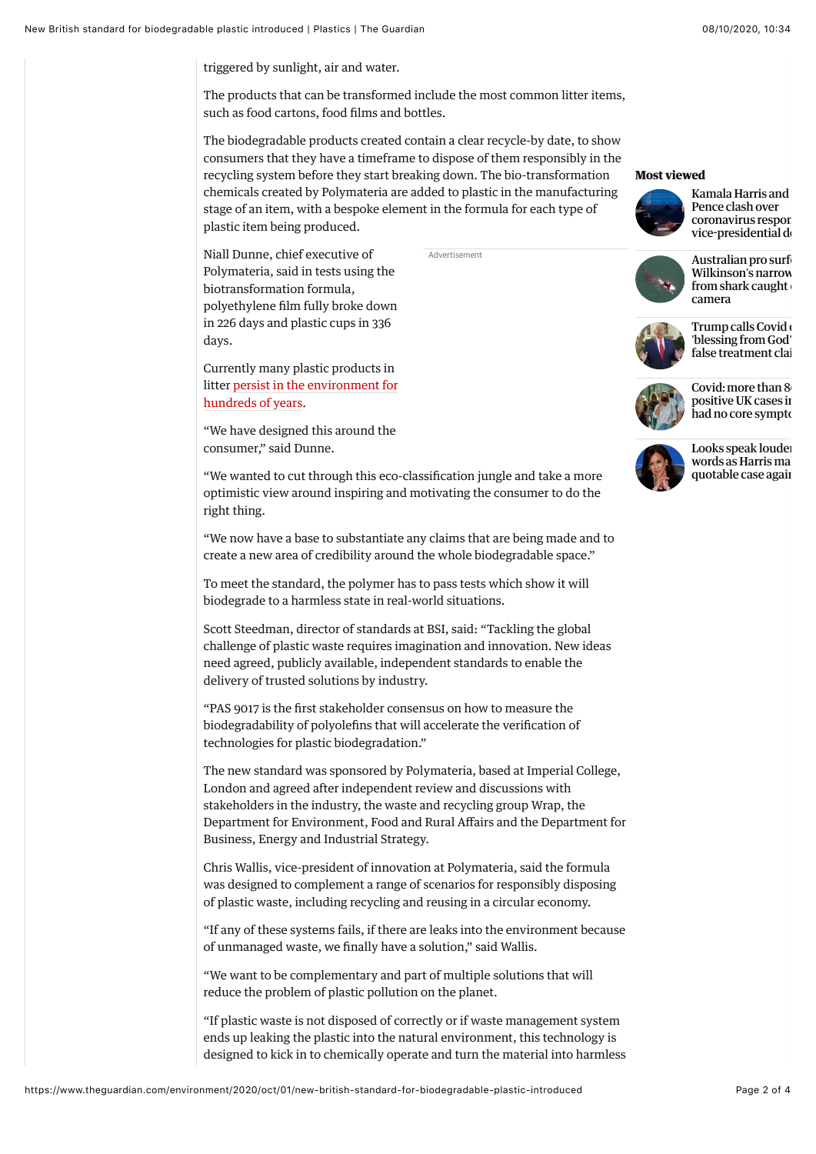triggered by sunlight, air and water.

The products that can be transformed include the most common litter items, such as food cartons, food films and bottles.

The biodegradable products created contain a clear recycle-by date, to show consumers that they have a timeframe to dispose of them responsibly in the recycling system before they start breaking down. The bio-transformation chemicals created by Polymateria are added to plastic in the manufacturing stage of an item, with a bespoke element in the formula for each type of plastic item being produced.

Advertisement

Niall Dunne, chief executive of Polymateria, said in tests using the biotransformation formula, polyethylene film fully broke down in 226 days and plastic cups in 336 days.

Currently many plastic products in [litter persist in the environment for](https://www.nationalgeographic.com/environment/habitats/plastic-pollution/) hundreds of years.

"We have designed this around the consumer," said Dunne.

"We wanted to cut through this eco-classification jungle and take a more optimistic view around inspiring and motivating the consumer to do the right thing.

"We now have a base to substantiate any claims that are being made and to create a new area of credibility around the whole biodegradable space."

To meet the standard, the polymer has to pass tests which show it will biodegrade to a harmless state in real-world situations.

Scott Steedman, director of standards at BSI, said: "Tackling the global challenge of plastic waste requires imagination and innovation. New ideas need agreed, publicly available, independent standards to enable the delivery of trusted solutions by industry.

"PAS 9017 is the first stakeholder consensus on how to measure the biodegradability of polyolefins that will accelerate the verification of technologies for plastic biodegradation."

The new standard was sponsored by Polymateria, based at Imperial College, London and agreed after independent review and discussions with stakeholders in the industry, the waste and recycling group Wrap, the Department for Environment, Food and Rural Affairs and the Department for Business, Energy and Industrial Strategy.

Chris Wallis, vice-president of innovation at Polymateria, said the formula was designed to complement a range of scenarios for responsibly disposing of plastic waste, including recycling and reusing in a circular economy.

"If any of these systems fails, if there are leaks into the environment because of unmanaged waste, we finally have a solution," said Wallis.

"We want to be complementary and part of multiple solutions that will reduce the problem of plastic pollution on the planet.

"If plastic waste is not disposed of correctly or if waste management system ends up leaking the plastic into the natural environment, this technology is designed to kick in to chemically operate and turn the material into harmless

## **Most viewed**



Kamala Harris and Pence clash over coronavirus respon vice-presidential de



Australian pro surf Wilkinson's narrow  $from$  shark caught camera



Trump calls Covid 'blessing from God' false treatment clai



Covid: more than 8 positive UK cases in had no core symptom



Looks speak louder [words as Harris ma](https://www.theguardian.com/us-news/2020/oct/08/kamala-harris-mike-pence-vice-presidential-debate-analysis) quotable case again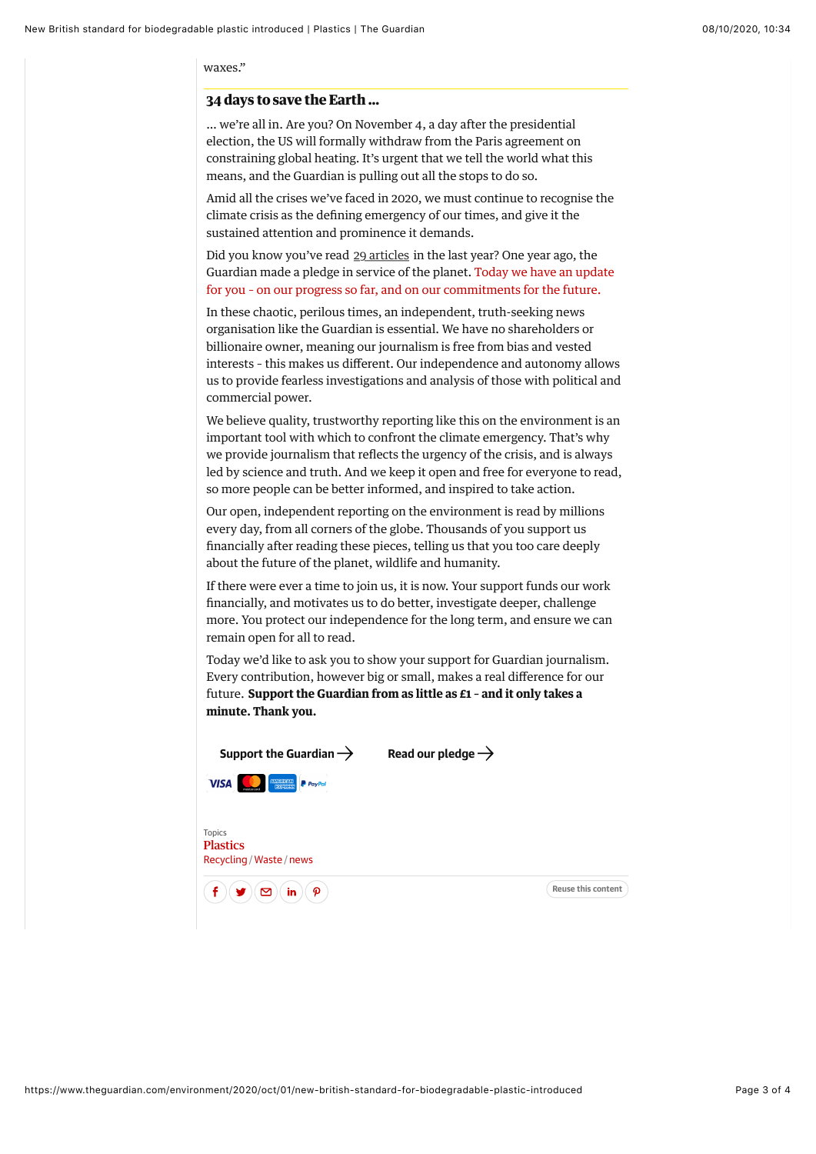waxes."

## **34 days to save the Earth …**

… we're all in. Are you? On November 4, a day after the presidential election, the US will formally withdraw from the Paris agreement on constraining global heating. It's urgent that we tell the world what this means, and the Guardian is pulling out all the stops to do so.

Amid all the crises we've faced in 2020, we must continue to recognise the climate crisis as the defining emergency of our times, and give it the sustained attention and prominence it demands.

Did you know you've read <u>29 articles</u> in the last year? One year ago, the Guardian made a pledge in service of the planet. Today we have an update [for you – on our progress so far, and on our commitments for the future.](https://www.theguardian.com/environment/ng-interactive/2020/oct/05/the-guardian-climate-pledge-2020-environment-emergency-carbon-emissions?INTCMP=enviro_moment_2020_epic)

In these chaotic, perilous times, an independent, truth-seeking news organisation like the Guardian is essential. We have no shareholders or billionaire owner, meaning our journalism is free from bias and vested interests – this makes us different. Our independence and autonomy allows us to provide fearless investigations and analysis of those with political and commercial power.

We believe quality, trustworthy reporting like this on the environment is an important tool with which to confront the climate emergency. That's why we provide journalism that reflects the urgency of the crisis, and is always led by science and truth. And we keep it open and free for everyone to read, so more people can be better informed, and inspired to take action.

Our open, independent reporting on the environment is read by millions every day, from all corners of the globe. Thousands of you support us financially after reading these pieces, telling us that you too care deeply about the future of the planet, wildlife and humanity.

If there were ever a time to join us, it is now. Your support funds our work financially, and motivates us to do better, investigate deeper, challenge more. You protect our independence for the long term, and ensure we can remain open for all to read.

Today we'd like to ask you to show your support for Guardian journalism. Every contribution, however big or small, makes a real difference for our future. **Support the Guardian from as little as £1 – and it only takes a minute. Thank you.**

| Support the Guardian $\rightarrow$                           | Read our pledge $\rightarrow$ |                    |
|--------------------------------------------------------------|-------------------------------|--------------------|
| <b>VISA</b><br>$P$ PayPal                                    |                               |                    |
| <b>Topics</b><br><b>Plastics</b><br>Recycling / Waste / news |                               |                    |
| P<br>in<br>☑                                                 |                               | Reuse this content |